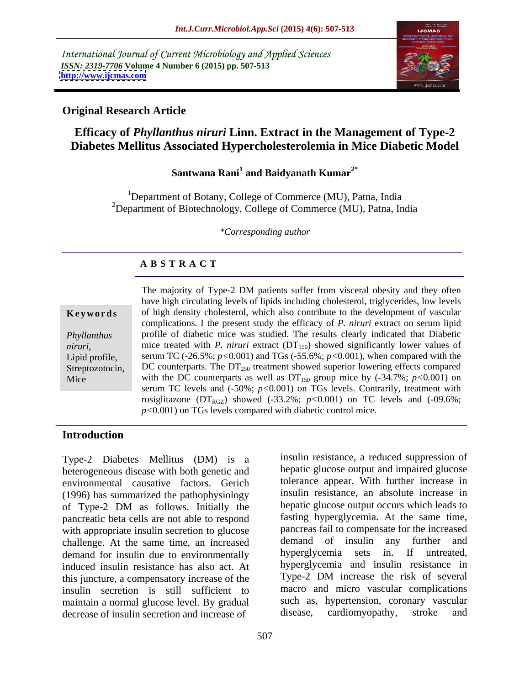International Journal of Current Microbiology and Applied Sciences *ISSN: 2319-7706* **Volume 4 Number 6 (2015) pp. 507-513 <http://www.ijcmas.com>**



### **Original Research Article**

# **Efficacy of** *Phyllanthus niruri* **Linn. Extract in the Management of Type-2 Diabetes Mellitus Associated Hypercholesterolemia in Mice Diabetic Model**

## $\mathbf{Santwana}$   $\mathbf{Rani}^{1}$  and  $\mathbf{Baidyanath}$   $\mathbf{Kumar}^{2^*}$

<sup>1</sup>Department of Botany, College of Commerce (MU), Patna, India <sup>2</sup>Department of Biotechnology, College of Commerce (MU), Patna, India

*\*Corresponding author*

## **A B S T R A C T**

| Keywords |  |  |  |
|----------|--|--|--|
|          |  |  |  |

Mice

The majority of Type-2 DM patients suffer from visceral obesity and they often have high circulating levels of lipids including cholesterol, triglycerides, low levels of high density cholesterol, which also contribute to the development of vascular **Ke ywo rds** complications. I the present study the efficacy of *P. niruri* extract on serum lipid profile of diabetic mice was studied. The results clearly indicated that Diabetic *Phyllanthus*  mice treated with *P. niruri* extract  $(DT_{150})$  showed significantly lower values of niruri, mice treated with P. niruri extract (DT<sub>150</sub>) showed significantly lower values of <br>Lipid profile, serum TC (-26.5%; *p*<0.001) and TGs (-55.6%; *p*<0.001), when compared with the Streptozotocin, DC counterparts. The  $DT_{250}$  treatment showed superior lowering effects compared with the DC counterparts as well as  $DT_{150}$  group mice by (-34.7%;  $p<0.001$ ) on serum TC levels and (-50%; *p<*0*.*001) on TGs levels. Contrarily, treatment with rosiglitazone (DT<sub>RGZ</sub>) showed  $(-33.2\%; p<0.001)$  on TC levels and  $(-09.6\%;$ *p<*0*.*001) on TGs levels compared with diabetic control mice.

### **Introduction**

Type-2 Diabetes Mellitus (DM) is a heterogeneous disease with both genetic and environmental causative factors. Gerich (1996) has summarized the pathophysiology of Type-2 DM as follows. Initially the pancreatic beta cells are not able to respond with appropriate insulin secretion to glucose<br>
challenge At the same time an increased demand of insulin any further and challenge. At the same time, an increased demand of insuling any further and demand for insuling due to environmentally by hyperglycemia sets in. If untreated, demand for insulin due to environmentally induced insulin resistance has also act. At hyperglycemia and insulin resistance in<br>this inneture a compensatory increase of the Type-2 DM increase the risk of several this juncture, a compensatory increase of the insulin secretion is still sufficient to maintain a normal glucose level. By gradual such as, hypertension, coronary vascular<br>decrease of insulin secretion and increase of disease, cardiomyopathy, stroke and decrease of insulin secretion and increase of

insulin resistance, a reduced suppression of hepatic glucose output and impaired glucose tolerance appear. With further increase in insulin resistance, an absolute increase in hepatic glucose output occurs which leads to fasting hyperglycemia. At the same time, pancreas fail to compensate for the increased demand of insulin any further and hyperglycemia sets in. If untreated, hyperglycemia and insulin resistance in Type-2 DM increase the risk of several macro and micro vascular complications such as, hypertension, coronary vascular disease, cardiomyopathy, stroke and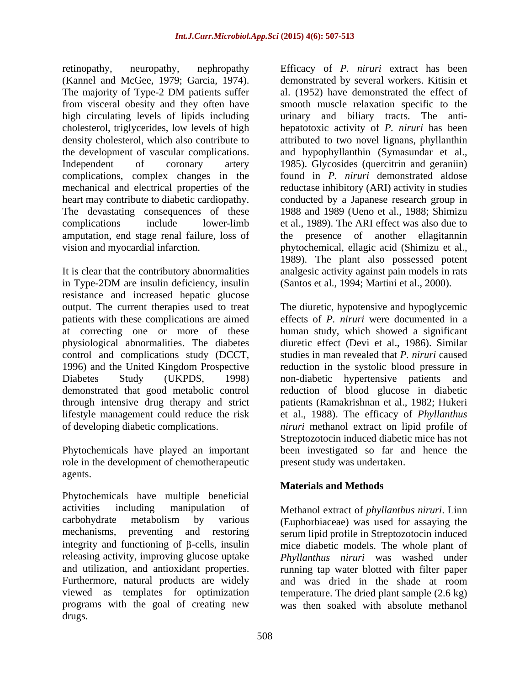(Kannel and McGee, 1979; Garcia, 1974). complications, complex changes in the

in Type-2DM are insulin deficiency, insulin (Santos et al., 1994; Martini et al., 2000). resistance and increased hepatic glucose control and complications study (DCCT,

role in the development of chemotherapeutic agents.

Phytochemicals have multiple beneficial activities including manipulation of Methanol extract of *phyllanthus niruri*. Linn carbohydrate metabolism by various (Euphorbiaceae) was used for assaying the mechanisms, preventing and restoring serum lipid profile in Streptozotocin induced integrity and functioning of  $\beta$ -cells, insulin mice diabetic models. The whole plant of releasing activity, improving glucose uptake *Phyllanthus niruri* was washed under and utilization, and antioxidant properties. In running tap water blotted with filter paper<br>Furthermore, natural products are widely in and was dried in the shade at room viewed as templates for optimization temperature. The dried plant sample (2.6 kg) programs with the goal of creating new drugs.

retinopathy, neuropathy, nephropathy Efficacy of *P. niruri* extract has been The majority of Type-2 DM patients suffer al. (1952) have demonstrated the effect of from visceral obesity and they often have smooth muscle relaxation specific to the high circulating levels of lipids including urinary and biliary tracts. The anti cholesterol, triglycerides, low levels of high hepatotoxic activity of *P. niruri* has been density cholesterol, which also contribute to attributed to two novel lignans, phyllanthin the development of vascular complications. and hypophyllanthin (Symasundar et al., Independent of coronary artery 1985). Glycosides (quercitrin and geraniin) mechanical and electrical properties of the reductase inhibitory (ARI) activity in studies heart may contribute to diabetic cardiopathy. conducted by a Japanese research group in The devastating consequences of these 1988 and 1989 (Ueno et al., 1988; Shimizu complications include lower-limb et al., 1989). The ARIeffect was also due to amputation, end stage renal failure, loss of the presence of another ellagitannin vision and myocardial infarction. phytochemical, ellagic acid (Shimizu et al., It is clear that the contributory abnormalities analgesic activity against pain models in rats demonstrated by several workers. Kitisin et al. (1952) have demonstrated the effect of found in *P. niruri* demonstrated aldose 1989). The plant also possessed potent (Santos et al., 1994; Martini et al., 2000).

output. The current therapies used to treat The diuretic, hypotensive and hypoglycemic patients with these complications are aimed effects of *P. niruri* were documented in a at correcting one or more of these human study, which showed a significant physiological abnormalities. The diabetes diuretic effect (Devi et al., 1986). Similar 1996) and the United Kingdom Prospective reduction in the systolic blood pressure in Diabetes Study (UKPDS, 1998) non-diabetic hypertensive patients and demonstrated that good metabolic control reduction of blood glucose in diabetic through intensive drug therapy and strict patients (Ramakrishnan et al., 1982; Hukeri lifestyle management could reduce the risk et al., 1988). The efficacy of *Phyllanthus*  of developing diabetic complications. *niruri* methanol extract on lipid profile of Phytochemicals have played an important been investigated so far and hence the studies in man revealed that *P. niruri* caused Streptozotocin induced diabetic mice has not present study was undertaken.

# **Materials and Methods**

running tap water blotted with filter paper and was dried in the shade at room was then soaked with absolute methanol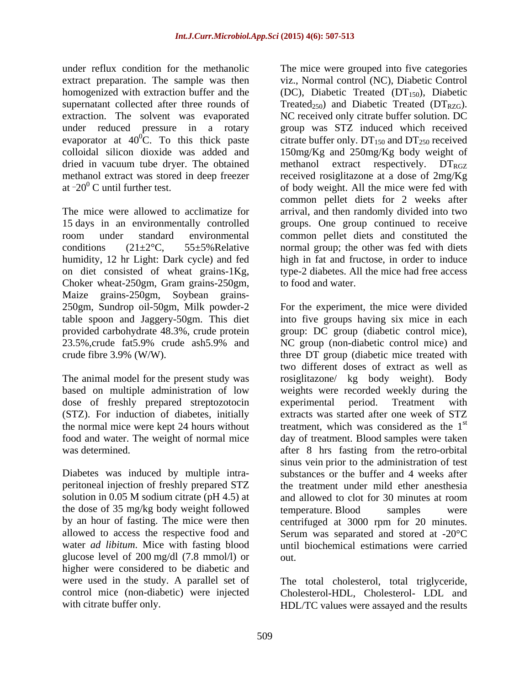dried in vacuum tube dryer. The obtained methanol extract respectively.  $DT_{RGZ}$ 

The mice were allowed to acclimatize for arrival, and then randomly divided into two 15 days in an environmentally controlled room under standard environmental common pellet diets and constituted the conditions  $(21 \pm 2^{\circ}\text{C}, 55 \pm 5\% \text{ Relative} \text{normal group}$ ; the other was fed with diets humidity, 12 hr Light: Dark cycle) and fed high in fat and fructose, in order to induce on diet consisted of wheat grains-1Kg, type-2 diabetes. All the mice had free access Choker wheat-250gm, Gram grains-250gm, Maize grains-250gm, Soybean grains-

dose of freshly prepared streptozotocin experimental period. Treatment with the normal mice were kept 24 hours without

Diabetes was induced by multiple intra peritoneal injection of freshly prepared STZ solution in 0.05 M sodium citrate (pH 4.5) at and allowed to clot for 30 minutes at room the dose of 35 mg/kg body weight followed temperature. Blood samples were glucose level of 200 mg/dl (7.8 mmol/l) or higher were considered to be diabetic and were used in the study. A parallel set of control mice (non-diabetic) were injected Cholesterol-HDL, Cholesterol- LDL and

under reflux condition for the methanolic The mice were grouped into five categories extract preparation. The sample was then viz., Normal control (NC), Diabetic Control homogenized with extraction buffer and the  $(DC)$ , Diabetic Treated  $(DT<sub>150</sub>)$ , Diabetic supernatant collected after three rounds of Treated<sub>250</sub>) and Diabetic Treated ( $DT_{RZG}$ ). extraction. The solvent was evaporated NC received only citrate buffer solution. DC under reduced pressure in a rotary group was STZ induced which received evaporator at 40<sup>o</sup>C. To this thick paste citrate buffer only. DT<sub>150</sub> and DT<sub>250</sub> received colloidal silicon dioxide was added and 150mg/Kg and 250mg/Kg body weight of methanol extract was stored in deep freezer received rosiglitazone at a dose of 2mg/Kg at  $-20^\circ$  C until further test. of body weight. All the mice were fed with methanol extract respectively. DT<sub>RGZ</sub> common pellet diets for 2 weeks after groups. One group continued to receive to food and water.

250gm, Sundrop oil-50gm, Milk powder-2 For the experiment, the mice were divided table spoon and Jaggery-50gm. This diet into five groups having six mice in each provided carbohydrate 48.3%, crude protein group: DC group (diabetic control mice), 23.5%, crude fat 5.9% crude ash 5.9% and MC group (non-diabetic control mice) and crude fibre 3.9% (W/W). three DT group (diabetic mice treated with The animal model for the present study was rosiglitazone/ kg body weight). Body based on multiple administration of low weights were recorded weekly during the (STZ). For induction of diabetes, initially extracts was started after one week of STZ food and water. The weight of normal mice day of treatment. Blood samples were taken was determined. after 8 hrs fasting from the retro-orbital by an hour of fasting. The mice were then centrifuged at 3000 rpm for 20 minutes. allowed to access the respective food and Serum was separated and stored at -20°C water *ad libitum*. Mice with fasting blood until biochemical estimations were carried NC group (non-diabetic control mice) and two different doses of extract as well as experimental period. Treatment with treatment, which was considered as the  $1<sup>st</sup>$ st<sub>ation</sub> and the state of the state of the state of the state of the state of the state of the state of the state of the state of the state of the state of the state of the state of the state of the state of the state of sinus vein prior to the administration of test substances or the buffer and 4 weeks after the treatment under mild ether anesthesia and allowed to clot for 30 minutes at room temperature. Blood samples were out.

with citrate buffer only. The HDL/TC values were assayed and the results The total cholesterol, total triglyceride,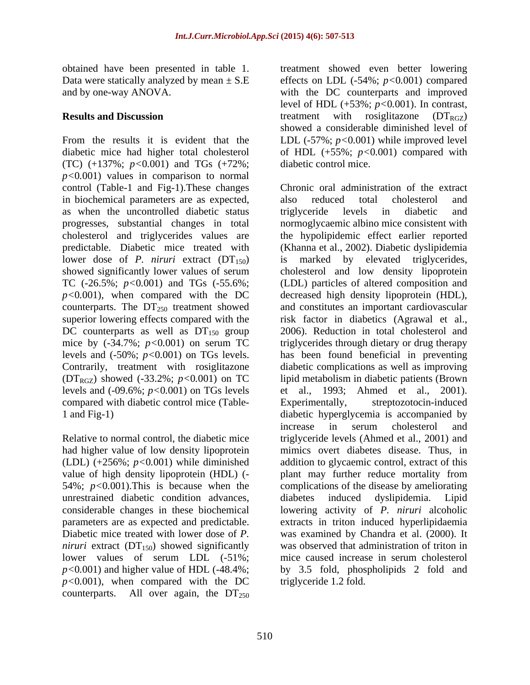obtained have been presented in table 1.

From the results it is evident that the LDL (-57%;  $p<0.001$ ) while improved level diabetic mice had higher total cholesterol of HDL (+55%; *p<*0*.*001) compared with (TC) (+137%; *p<*0*.*001) and TGs (+72%; *p<*0*.*001) values in comparison to normal control (Table-1 and Fig-1).These changes in biochemical parameters are as expected, as when the uncontrolled diabetic status progresses, substantial changes in total lower dose of *P. niruri* extract (DT<sub>150</sub>) is marked by elevated triglycerides, showed significantly lower values of serum cholesterol and low density lipoprotein TC (-26.5%; *p<*0*.*001) and TGs (-55.6%; DC counterparts as well as  $DT<sub>150</sub>$  group compared with diabetic control mice (Table-

had higher value of low density lipoprotein value of high density lipoprotein (HDL) ( unrestrained diabetic condition advances, diabetes induced dyslipidemia. Lipid *niruri* extract  $(DT_{150})$  showed significantly lower values of serum LDL  $(-51\%;$  mice caused increase in serum cholesterol *p<*0*.*001), when compared with the DC counterparts. All over again, the  $DT<sub>250</sub>$ 

Data were statically analyzed by mean ± S.E effects on LDL (-54%; *p<*0*.*001) compared and by one-way ANOVA. with the DC counterparts and improved **Results and Discussion Example 1 COVERGIVE 12 COVERGIVE 12 COVERGIVE 12 COVERGIVE 12 COVERGIVE 12 COVERGIVE 12 COVERGIVE 12 COVERGIVE 12 COVERGIVE 12 COVERGIVE 12 COVERGIVE 12 COVERGIVE 12 COVE** treatment showed even better lowering level of HDL (+53%; *p<*0*.*001). In contrast, treatment with rosiglitazone  $(DT_{\text{RGZ}})$ showed a considerable diminished level of diabetic control mice.

cholesterol and triglycerides values are the hypolipidemic effect earlier reported predictable. Diabetic mice treated with (Khanna et al., 2002). Diabetic dyslipidemia showed significantly lower values of serum cholesterol and low density lipoprotein *p<*0*.*001), when compared with the DC decreased high density lipoprotein (HDL), counterparts. The  $DT_{250}$  treatment showed and constitutes an important cardiovascular superior lowering effects compared with the risk factor in diabetics (Agrawal et al., mice by (-34.7%;  $p<0.001$ ) on serum TC triglycerides through dietary or drug therapy levels and (-50%; *p<*0*.*001) on TGs levels. has been found beneficial in preventing Contrarily, treatment with rosiglitazone diabetic complications as well as improving (DTRGZ) showed (-33.2%; *p<*0*.*001) on TC lipid metabolism in diabetic patients (Brown levels and (-09.6%; *p<*0*.*001) on TGs levels et al., 1993; Ahmed et al., 2001). 1 and Fig-1) diabetic hyperglycemia is accompanied by Relative to normal control, the diabetic mice triglyceride levels (Ahmed et al., 2001) and (LDL) (+256%; *p<*0*.*001) while diminished addition to glycaemic control, extract of this 54%; *p<*0*.*001).This is because when the complications of the disease by ameliorating considerable changes in these biochemical lowering activity of *P. niruri* alcoholic parameters are as expected and predictable. extracts in triton induced hyperlipidaemia Diabetic mice treated with lower dose of *P*. was examined by Chandra et al. (2000). It *p<*0*.*001) and higher value of HDL (-48.4%; by 3.5 fold, phospholipids 2 fold and Chronic oral administration of the extract also reduced total cholesterol and triglyceride levels in diabetic and normoglycaemic albino mice consistent with is marked by elevated triglycerides, (LDL) particles of altered composition and 2006). Reduction in total cholesterol and streptozotocin-induced increase in serum cholesterol and mimics overt diabetes disease. Thus, in plant may further reduce mortality from diabetes induced dyslipidemia. Lipid was observed that administration of triton in mice caused increase in serum cholesterol triglyceride 1.2 fold.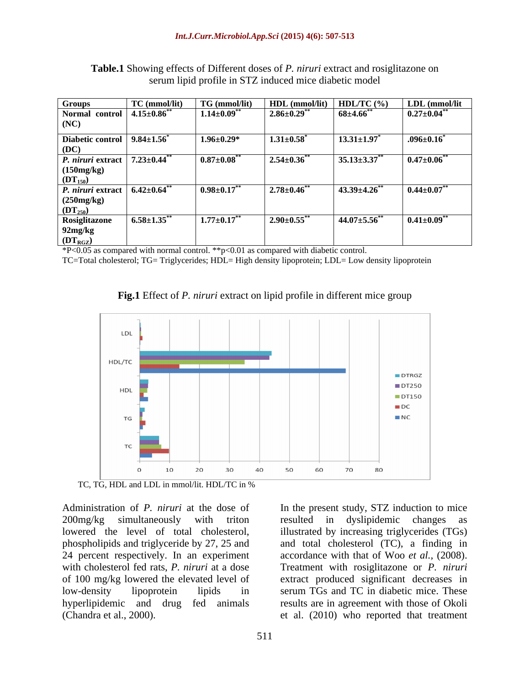| m 1<br>.<br>Table.<br>nirur<br>ect and rosig<br>e on<br>∠ effe⊂<br>:11tazone<br>.<br>show <sup>.</sup><br>Different<br>$\Delta$ vtr $\epsilon$<br>$\cdot$ $\cdot$ $\alpha$<br>$\sim$<br>UIS 4<br>extrac<br>$\sim$ 1<br>u<br>,,, |
|---------------------------------------------------------------------------------------------------------------------------------------------------------------------------------------------------------------------------------|
| serum<br>∶model<br>1n<br>mice<br>.iabetic<br>` prof1k<br>-11101 d<br>duced-<br>. .                                                                                                                                              |

| <b>Groups</b>                                          | $\vert$ TC (mmol/lit) | TG (mmol/lit)      | <b>HDL</b> (mmol/lit) | HDL/TC $(\% )$   | LDL (mmol/lit                      |
|--------------------------------------------------------|-----------------------|--------------------|-----------------------|------------------|------------------------------------|
| Normal control $4.15\pm0.86$ <sup>**</sup>             |                       | $1.14{\pm}0.09$    | $2.86 \pm 0.29$       | $68{\pm}4.66$    | $\mid 0.27 \pm 0.04$ <sup>**</sup> |
| (NC)                                                   |                       |                    |                       |                  |                                    |
| Diabetic control   $9.84 \pm 1.56^*$                   |                       | $1.96 \pm 0.29*$   | $1.31 \pm 0.58$       | $13.31 \pm 1.97$ | $.096 \pm 0.16^*$                  |
| (DC)                                                   |                       |                    |                       |                  |                                    |
| <i>P. niruri</i> extract $7.23 \pm 0.44$ <sup>**</sup> |                       | $0.87{\pm}0.08$    | $2.54{\pm}0.36$ **    | $35.13 \pm 3.37$ | $ 0.47 \pm 0.06$ **                |
| (150mg/kg)                                             |                       |                    |                       |                  |                                    |
| $(DT_{150})$                                           |                       |                    |                       |                  |                                    |
| P. niruri extract $6.42 \pm 0.64$ <sup>**</sup>        |                       | $0.98 \pm 0.17$    | $2.78{\pm}0.46^{**}$  | $43.39 \pm 4.26$ | $0.44{\pm}0.07$                    |
| (250mg/kg)                                             |                       |                    |                       |                  |                                    |
| $(DT_{250})$                                           |                       |                    |                       |                  |                                    |
| Rosiglitazone                                          | $6.58{\pm}1.35$ **    | $1.77 \pm 0.17$ ** | $2.90\pm0.55$ **      | $44.07 \pm 5.56$ | $ 0.41\pm0.09^* $                  |
| 92mg/kg                                                |                       |                    |                       |                  |                                    |
| $(DT_{RGZ})$                                           |                       |                    |                       |                  |                                    |

\*P<0.05 as compared with normal control. \*\*p<0.01 as compared with diabetic control.

TC=Total cholesterol; TG= Triglycerides; HDL= High density lipoprotein; LDL= Low density lipoprotein





TC, TG, HDL and LDL in mmol/lit. HDL/TC in %

Administration of *P. niruri* at the dose of In the present study, STZ induction to mice (Chandra et al., 2000). et al. (2010) who reported that treatment

200mg/kg simultaneously with triton resulted in dyslipidemic changes as lowered the level of total cholesterol, illustrated by increasing triglycerides (TGs) phospholipids and triglyceride by 27, 25 and and total cholesterol (TC), a finding in 24 percent respectively. In an experiment accordance with that of Woo *et al.,* (2008). with cholesterol fed rats, *P. niruri* at a dose Treatment with rosiglitazone or*P. niruri* of 100 mg/kg lowered the elevated level of extract produced significant decreases in low-density lipoprotein lipids in serum TGs and TC in diabetic mice. These hyperlipidemic and drug fed animals results are in agreement with those of Okoli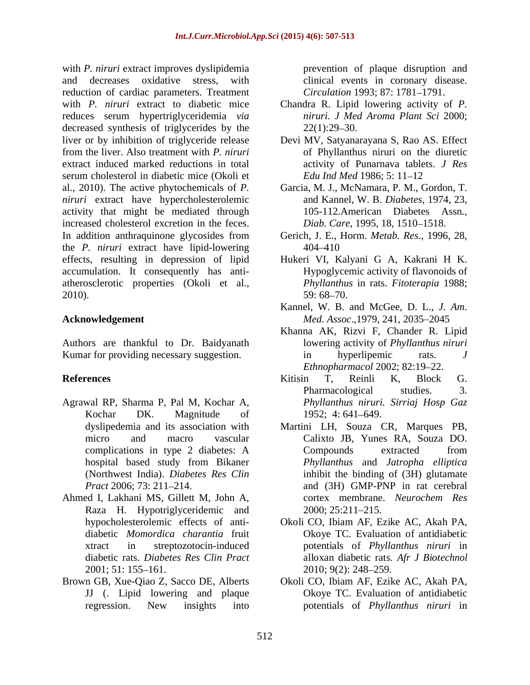with *P. niruri* extract improves dyslipidemia and decreases oxidative stress, with clinical events in coronary disease. reduction of cardiac parameters. Treatment with *P. niruri* extract to diabetic mice Chandra R. Lipid lowering activity of *P.* reduces serum hypertriglyceridemia *via*  decreased synthesis of triglycerides by the  $22(1):29-30$ . liver or by inhibition of triglyceride release Devi MV, Satyanarayana S, Rao AS. Effect from the liver. Also treatment with *P. niruri* of Phyllanthus niruri on the diuretic extract induced marked reductions in total serum cholesterol in diabetic mice (Okoli et Edu Ind Med 1986; 5: 11–12 al., 2010). The active phytochemicals of *P. niruri* extract have hypercholesterolemic and Kannel, W. B. Diabetes, 1974, 23, activity that might be mediated through 105-112. American Diabetes Assn., increased cholesterol excretion in the feces. Diab. Care, 1995, 18, 1510–1518. In addition anthraquinone glycosides from Gerich, J. E., Horm. *Metab. Res*., 1996, 28, the *P. niruri* extract have lipid-lowering effects, resulting in depression of lipid Hukeri VI, Kalyani G A, Kakrani H K. accumulation. It consequently has anti atherosclerotic properties (Okoli et al.,  $2010$ ).  $59:68-70$ .

Authors are thankful to Dr. Baidyanath Kumar for providing necessary suggestion. 
in hyperlipemic rats.  $J$ 

- Agrawal RP, Sharma P, Pal M, Kochar A,
- Ahmed I, Lakhani MS, Gillett M, John A, Raza H. Hypotriglyceridemic and 2000; 25:211-215.
- Brown GB, Xue-Qiao Z, Sacco DE, Alberts JJ (. Lipid lowering and plaque

prevention of plaque disruption and *Circulation* 1993: 87: 1781–1791.

- *niruri*. *J Med Aroma Plant Sci* 2000;  $22(1):29-30.$
- activity of Punarnava tablets. *J Res Edu Ind Med 1986; 5: 11–12*
- Garcia, M. J., McNamara, P. M., Gordon, T.<br>and Kannel, W. B. *Diabetes*, 1974, 23, 105-112.American Diabetes Assn*., Diab. Care*, 1995, 18, 1510 1518.
- 404 410
- Hypoglycemic activity of flavonoids of *Phyllanthus* in rats. *Fitoterapia* 1988; 59: 68–70.
- **Acknowledgement** *Med. Assoc*.,1979, 241, 2035 2045 Kannel, W. B. and McGee, D. L., *J. Am.*
	- Khanna AK, Rizvi F, Chander R. Lipid lowering activity of *Phyllanthus niruri* in hyperlipemic rats. *J Ethnopharmacol* 2002; 82:19-22.
- **References Exercise Exercise Exercise Exercise Exercise Exercise Exercise Exercise Exercise Exercise Exercise** Kochar DK. Magnitude of 1952; 4:641–649. Kitisin T, Reinli K, Block G. Pharmacological studies. 3. *Phyllanthus niruri. Sirriaj Hosp Gaz* 1952; 4: 641–649.
	- dyslipedemia and its association with Martini LH, Souza CR, Marques PB, micro and macro vascular Calixto JB, Yunes RA, Souza DO. complications in type 2 diabetes: A hospital based study from Bikaner *Phyllanthus* and Jatropha elliptica (Northwest India). *Diabetes Res Clin* inhibit the binding of (3H) glutamate *Pract* 2006; 73: 211–214. **and** (3H) GMP-PNP in rat cerebral Compounds extracted from *Phyllanthus* and *Jatropha elliptica* cortex membrane. *Neurochem Res* 2000; 25:211 215.
	- hypocholesterolemic effects of anti-<br>Okoli CO, Ibiam AF, Ezike AC, Akah PA, diabetic *Momordica charantia* fruit xtract in streptozotocin-induced potentials of *Phyllanthus niruri* in diabetic rats. *Diabetes Res Clin Pract* alloxan diabetic rats. *Afr J Biotechnol* 2001; 51: 155–161. 2010; 9(2): 248–259. Okoli CO, Ibiam AF, Ezike AC, Akah PA, Okoye TC. Evaluation of antidiabetic 2010; 9(2): 248 259.
	- regression. New insights into beth potentials of *Phyllanthus niruri* in Okoli CO, Ibiam AF, Ezike AC, Akah PA, Okoye TC. Evaluation of antidiabetic potentials of *Phyllanthus niruri* in